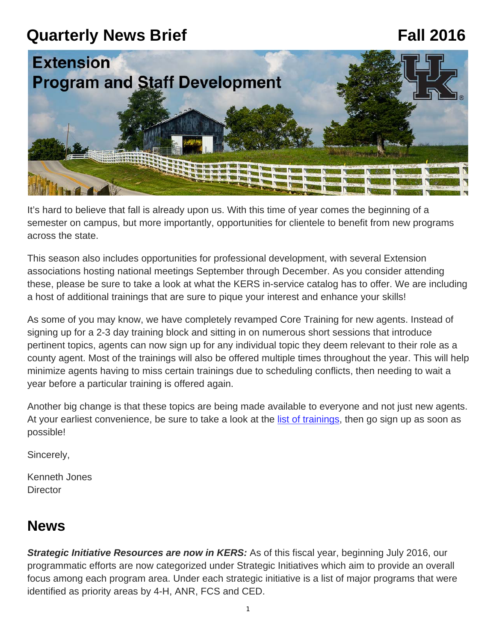# **Quarterly News Brief Fall 2016**



It's hard to believe that fall is already upon us. With this time of year comes the beginning of a semester on campus, but more importantly, opportunities for clientele to benefit from new programs across the state.

This season also includes opportunities for professional development, with several Extension associations hosting national meetings September through December. As you consider attending these, please be sure to take a look at what the KERS in-service catalog has to offer. We are including a host of additional trainings that are sure to pique your interest and enhance your skills!

As some of you may know, we have completely revamped Core Training for new agents. Instead of signing up for a 2-3 day training block and sitting in on numerous short sessions that introduce pertinent topics, agents can now sign up for any individual topic they deem relevant to their role as a county agent. Most of the trainings will also be offered multiple times throughout the year. This will help minimize agents having to miss certain trainings due to scheduling conflicts, then needing to wait a year before a particular training is offered again.

Another big change is that these topics are being made available to everyone and not just new agents. At your earliest convenience, be sure to take a look at the [list of trainings,](https://psd.ca.uky.edu/coretraining) then go sign up as soon as possible!

Sincerely,

Kenneth Jones **Director** 

### **News**

**Strategic Initiative Resources are now in KERS:** As of this fiscal year, beginning July 2016, our programmatic efforts are now categorized under Strategic Initiatives which aim to provide an overall focus among each program area. Under each strategic initiative is a list of major programs that were identified as priority areas by 4-H, ANR, FCS and CED.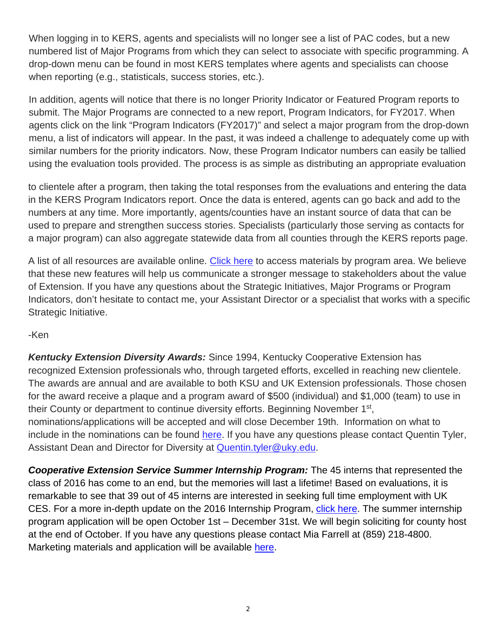When logging in to KERS, agents and specialists will no longer see a list of PAC codes, but a new numbered list of Major Programs from which they can select to associate with specific programming. A drop-down menu can be found in most KERS templates where agents and specialists can choose when reporting (e.g., statisticals, success stories, etc.).

In addition, agents will notice that there is no longer Priority Indicator or Featured Program reports to submit. The Major Programs are connected to a new report, Program Indicators, for FY2017. When agents click on the link "Program Indicators (FY2017)" and select a major program from the drop-down menu, a list of indicators will appear. In the past, it was indeed a challenge to adequately come up with similar numbers for the priority indicators. Now, these Program Indicator numbers can easily be tallied using the evaluation tools provided. The process is as simple as distributing an appropriate evaluation

to clientele after a program, then taking the total responses from the evaluations and entering the data in the KERS Program Indicators report. Once the data is entered, agents can go back and add to the numbers at any time. More importantly, agents/counties have an instant source of data that can be used to prepare and strengthen success stories. Specialists (particularly those serving as contacts for a major program) can also aggregate statewide data from all counties through the KERS reports page.

A list of all resources are available online. [Click here](https://psd.ca.uky.edu/strategicinitiatives) to access materials by program area. We believe that these new features will help us communicate a stronger message to stakeholders about the value of Extension. If you have any questions about the Strategic Initiatives, Major Programs or Program Indicators, don't hesitate to contact me, your Assistant Director or a specialist that works with a specific Strategic Initiative.

-Ken

*Kentucky Extension Diversity Awards:* Since 1994, Kentucky Cooperative Extension has recognized Extension professionals who, through targeted efforts, excelled in reaching new clientele. The awards are annual and are available to both KSU and UK Extension professionals. Those chosen for the award receive a plaque and a program award of \$500 (individual) and \$1,000 (team) to use in their County or department to continue diversity efforts. Beginning November 1<sup>st</sup>, nominations/applications will be accepted and will close December 19th. Information on what to include in the nominations can be found [here.](http://diversity.ca.uky.edu/extension-diversity-awards) If you have any questions please contact Quentin Tyler, Assistant Dean and Director for Diversity at [Quentin.tyler@uky.edu.](mailto:Quentin.tyler@uky.edu)

*Cooperative Extension Service Summer Internship Program:* The 45 interns that represented the class of 2016 has come to an end, but the memories will last a lifetime! Based on evaluations, it is remarkable to see that 39 out of 45 interns are interested in seeking full time employment with UK CES. For a more in-depth update on the 2016 Internship Program, [click here](https://psd.ca.uky.edu/sites/psd.ca.uky.edu/files/fall_2016_internship_program_update.pdf). The summer internship program application will be open October 1st – December 31st. We will begin soliciting for county host at the end of October. If you have any questions please contact Mia Farrell at (859) 218-4800. Marketing materials and application will be available [here](http://ces-personnel.ca.uky.edu/internship-program).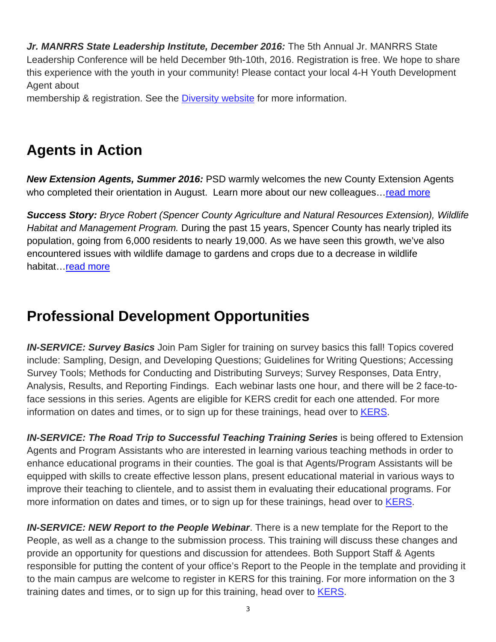*Jr. MANRRS State Leadership Institute, December 2016:* The 5th Annual Jr. MANRRS State Leadership Conference will be held December 9th-10th, 2016. Registration is free. We hope to share this experience with the youth in your community! Please contact your local 4-H Youth Development Agent about

membership & registration. See the [Diversity website f](http://diversity.ca.uky.edu/content/jr-manrrs)or more information.

# **Agents in Action**

*New Extension Agents, Summer 2016:* PSD warmly welcomes the new County Extension Agents who completed their orientation in August. Learn more about our new colleagues...read more

*Success Story: Bryce Robert (Spencer County Agriculture and Natural Resources Extension), Wildlife Habitat and Management Program.* During the past 15 years, Spencer County has nearly tripled its population, going from 6,000 residents to nearly 19,000. As we have seen this growth, we've also encountered issues with wildlife damage to gardens and crops due to a decrease in wildlife habitat... read more

# **Professional Development Opportunities**

*IN-SERVICE: Survey Basics* Join Pam Sigler for training on survey basics this fall! Topics covered include: Sampling, Design, and Developing Questions; Guidelines for Writing Questions; Accessing Survey Tools; Methods for Conducting and Distributing Surveys; Survey Responses, Data Entry, Analysis, Results, and Reporting Findings. Each webinar lasts one hour, and there will be 2 face-toface sessions in this series. Agents are eligible for KERS credit for each one attended. For more information on dates and times, or to sign up for these trainings, head over to [KERS.](https://warehouse.ca.uky.edu/kers/login.aspx)

*IN-SERVICE: The Road Trip to Successful Teaching Training Series* is being offered to Extension Agents and Program Assistants who are interested in learning various teaching methods in order to enhance educational programs in their counties. The goal is that Agents/Program Assistants will be equipped with skills to create effective lesson plans, present educational material in various ways to improve their teaching to clientele, and to assist them in evaluating their educational programs. For more information on dates and times, or to sign up for these trainings, head over to [KERS.](https://warehouse.ca.uky.edu/kers/login.aspx)

*IN-SERVICE: NEW Report to the People Webinar*. There is a new template for the Report to the People, as well as a change to the submission process. This training will discuss these changes and provide an opportunity for questions and discussion for attendees. Both Support Staff & Agents responsible for putting the content of your office's Report to the People in the template and providing it to the main campus are welcome to register in KERS for this training. For more information on the 3 training dates and times, or to sign up for this training, head over to **KERS**.